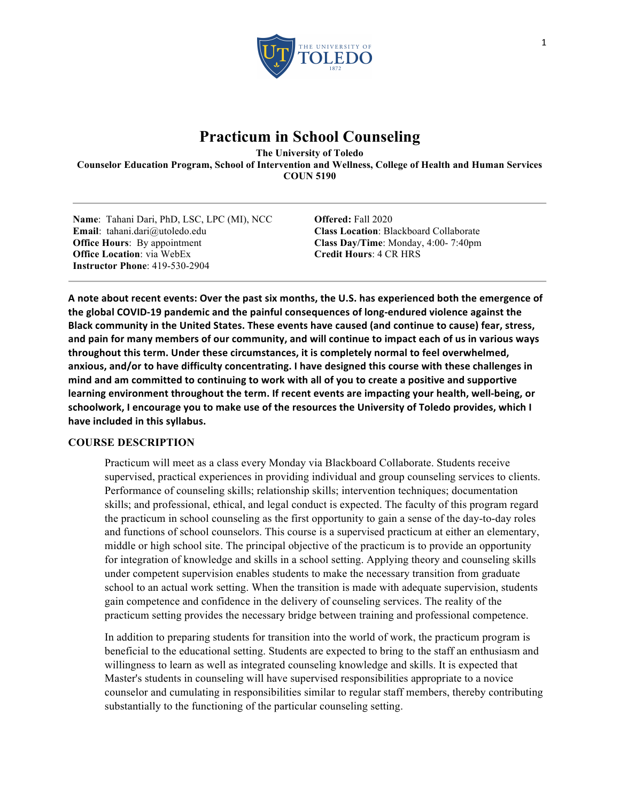

# **Practicum in School Counseling**

**The University of Toledo Counselor Education Program, School of Intervention and Wellness, College of Health and Human Services COUN 5190**

**Name**: Tahani Dari, PhD, LSC, LPC (MI), NCC **Email**: tahani.dari@utoledo.edu **Office Hours**: By appointment **Office Location**: via WebEx **Instructor Phone**: 419-530-2904

**Offered:** Fall 2020 **Class Location**: Blackboard Collaborate **Class Day/Time**: Monday, 4:00- 7:40pm **Credit Hours**: 4 CR HRS

A note about recent events: Over the past six months, the U.S. has experienced both the emergence of the global COVID-19 pandemic and the painful consequences of long-endured violence against the Black community in the United States. These events have caused (and continue to cause) fear, stress, and pain for many members of our community, and will continue to impact each of us in various ways throughout this term. Under these circumstances, it is completely normal to feel overwhelmed, anxious, and/or to have difficulty concentrating. I have designed this course with these challenges in mind and am committed to continuing to work with all of you to create a positive and supportive learning environment throughout the term. If recent events are impacting your health, well-being, or schoolwork, I encourage you to make use of the resources the University of Toledo provides, which I have included in this syllabus.

# **COURSE DESCRIPTION**

Practicum will meet as a class every Monday via Blackboard Collaborate. Students receive supervised, practical experiences in providing individual and group counseling services to clients. Performance of counseling skills; relationship skills; intervention techniques; documentation skills; and professional, ethical, and legal conduct is expected. The faculty of this program regard the practicum in school counseling as the first opportunity to gain a sense of the day-to-day roles and functions of school counselors. This course is a supervised practicum at either an elementary, middle or high school site. The principal objective of the practicum is to provide an opportunity for integration of knowledge and skills in a school setting. Applying theory and counseling skills under competent supervision enables students to make the necessary transition from graduate school to an actual work setting. When the transition is made with adequate supervision, students gain competence and confidence in the delivery of counseling services. The reality of the practicum setting provides the necessary bridge between training and professional competence.

In addition to preparing students for transition into the world of work, the practicum program is beneficial to the educational setting. Students are expected to bring to the staff an enthusiasm and willingness to learn as well as integrated counseling knowledge and skills. It is expected that Master's students in counseling will have supervised responsibilities appropriate to a novice counselor and cumulating in responsibilities similar to regular staff members, thereby contributing substantially to the functioning of the particular counseling setting.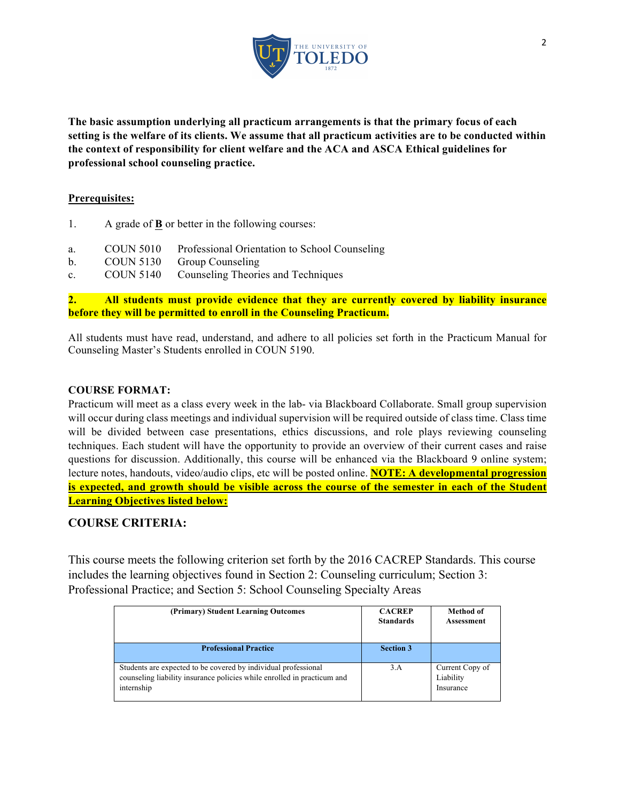

**The basic assumption underlying all practicum arrangements is that the primary focus of each setting is the welfare of its clients. We assume that all practicum activities are to be conducted within the context of responsibility for client welfare and the ACA and ASCA Ethical guidelines for professional school counseling practice.**

### **Prerequisites:**

- 1. A grade of **B** or better in the following courses:
- a. COUN 5010 Professional Orientation to School Counseling
- b. COUN 5130 Group Counseling
- c. COUN 5140 Counseling Theories and Techniques

**2. All students must provide evidence that they are currently covered by liability insurance before they will be permitted to enroll in the Counseling Practicum.** 

All students must have read, understand, and adhere to all policies set forth in the Practicum Manual for Counseling Master's Students enrolled in COUN 5190.

### **COURSE FORMAT:**

Practicum will meet as a class every week in the lab- via Blackboard Collaborate. Small group supervision will occur during class meetings and individual supervision will be required outside of class time. Class time will be divided between case presentations, ethics discussions, and role plays reviewing counseling techniques. Each student will have the opportunity to provide an overview of their current cases and raise questions for discussion. Additionally, this course will be enhanced via the Blackboard 9 online system; lecture notes, handouts, video/audio clips, etc will be posted online. **NOTE: A developmental progression is expected, and growth should be visible across the course of the semester in each of the Student Learning Objectives listed below:**

# **COURSE CRITERIA:**

This course meets the following criterion set forth by the 2016 CACREP Standards. This course includes the learning objectives found in Section 2: Counseling curriculum; Section 3: Professional Practice; and Section 5: School Counseling Specialty Areas

| (Primary) Student Learning Outcomes                                                                                                                     | <b>CACREP</b><br><b>Standards</b> | Method of<br>Assessment                   |
|---------------------------------------------------------------------------------------------------------------------------------------------------------|-----------------------------------|-------------------------------------------|
| <b>Professional Practice</b>                                                                                                                            | <b>Section 3</b>                  |                                           |
| Students are expected to be covered by individual professional<br>counseling liability insurance policies while enrolled in practicum and<br>internship | 3.A                               | Current Copy of<br>Liability<br>Insurance |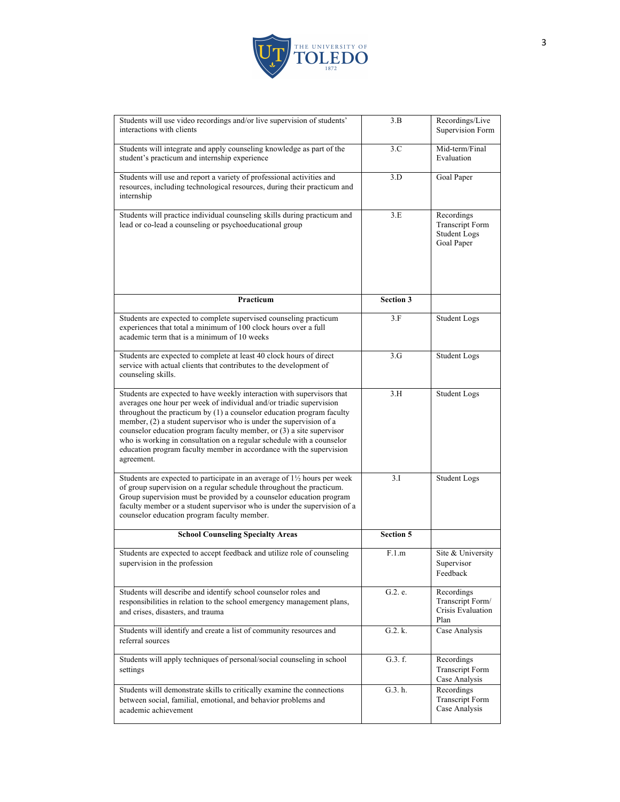

| Students will use video recordings and/or live supervision of students'<br>interactions with clients                                                                                                                                                                                                                                                                                                                                                                                                                                   | 3.B              | Recordings/Live<br>Supervision Form                                       |
|----------------------------------------------------------------------------------------------------------------------------------------------------------------------------------------------------------------------------------------------------------------------------------------------------------------------------------------------------------------------------------------------------------------------------------------------------------------------------------------------------------------------------------------|------------------|---------------------------------------------------------------------------|
| Students will integrate and apply counseling knowledge as part of the<br>student's practicum and internship experience                                                                                                                                                                                                                                                                                                                                                                                                                 | 3.C              | Mid-term/Final<br>Evaluation                                              |
| Students will use and report a variety of professional activities and<br>resources, including technological resources, during their practicum and<br>internship                                                                                                                                                                                                                                                                                                                                                                        | 3.D              | Goal Paper                                                                |
| Students will practice individual counseling skills during practicum and<br>lead or co-lead a counseling or psychoeducational group                                                                                                                                                                                                                                                                                                                                                                                                    | 3.E              | Recordings<br><b>Transcript Form</b><br><b>Student Logs</b><br>Goal Paper |
| Practicum                                                                                                                                                                                                                                                                                                                                                                                                                                                                                                                              | <b>Section 3</b> |                                                                           |
| Students are expected to complete supervised counseling practicum<br>experiences that total a minimum of 100 clock hours over a full<br>academic term that is a minimum of 10 weeks                                                                                                                                                                                                                                                                                                                                                    | 3.F              | <b>Student Logs</b>                                                       |
| Students are expected to complete at least 40 clock hours of direct<br>service with actual clients that contributes to the development of<br>counseling skills.                                                                                                                                                                                                                                                                                                                                                                        | 3.G              | <b>Student Logs</b>                                                       |
| Students are expected to have weekly interaction with supervisors that<br>averages one hour per week of individual and/or triadic supervision<br>throughout the practicum by (1) a counselor education program faculty<br>member, $(2)$ a student supervisor who is under the supervision of a<br>counselor education program faculty member, or $(3)$ a site supervisor<br>who is working in consultation on a regular schedule with a counselor<br>education program faculty member in accordance with the supervision<br>agreement. | 3.H              | <b>Student Logs</b>                                                       |
| Students are expected to participate in an average of 1 <sup>1</sup> / <sub>2</sub> hours per week<br>of group supervision on a regular schedule throughout the practicum.<br>Group supervision must be provided by a counselor education program<br>faculty member or a student supervisor who is under the supervision of a<br>counselor education program faculty member.                                                                                                                                                           | 3.I              | <b>Student Logs</b>                                                       |
| <b>School Counseling Specialty Areas</b>                                                                                                                                                                                                                                                                                                                                                                                                                                                                                               | <b>Section 5</b> |                                                                           |
| Students are expected to accept feedback and utilize role of counseling<br>supervision in the profession                                                                                                                                                                                                                                                                                                                                                                                                                               | F.1.m            | Site & University<br>Supervisor<br>Feedback                               |
| Students will describe and identify school counselor roles and<br>responsibilities in relation to the school emergency management plans,<br>and crises, disasters, and trauma                                                                                                                                                                                                                                                                                                                                                          | G.2. e.          | Recordings<br>Transcript Form/<br>Crisis Evaluation<br>Plan               |
| Students will identify and create a list of community resources and<br>referral sources                                                                                                                                                                                                                                                                                                                                                                                                                                                | G.2. k.          | Case Analysis                                                             |
| Students will apply techniques of personal/social counseling in school<br>settings                                                                                                                                                                                                                                                                                                                                                                                                                                                     | G.3. f.          | Recordings<br><b>Transcript Form</b><br>Case Analysis                     |
| Students will demonstrate skills to critically examine the connections<br>between social, familial, emotional, and behavior problems and<br>academic achievement                                                                                                                                                                                                                                                                                                                                                                       | G.3. h.          | Recordings<br><b>Transcript Form</b><br>Case Analysis                     |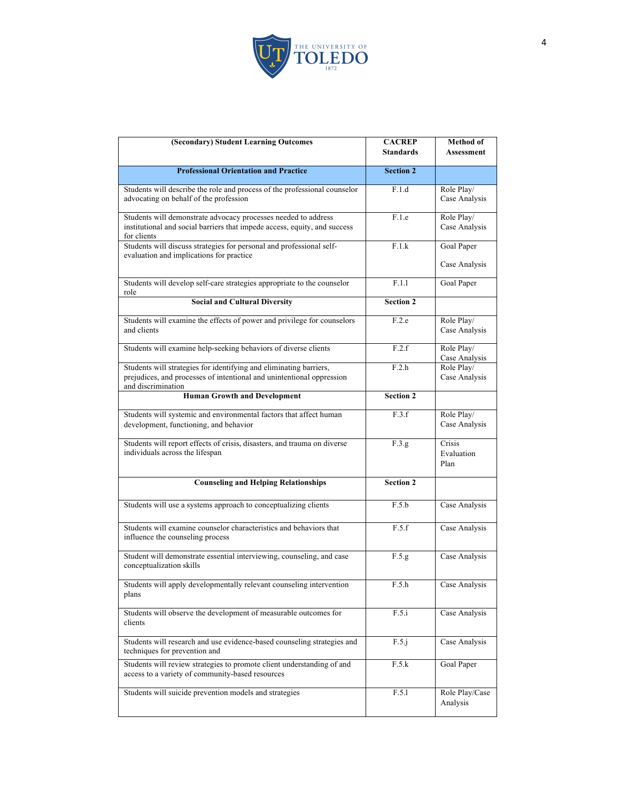

| (Secondary) Student Learning Outcomes                                                                                                                             | <b>CACREP</b><br><b>Standards</b> | Method of<br><b>Assessment</b> |
|-------------------------------------------------------------------------------------------------------------------------------------------------------------------|-----------------------------------|--------------------------------|
| <b>Professional Orientation and Practice</b>                                                                                                                      | <b>Section 2</b>                  |                                |
| Students will describe the role and process of the professional counselor<br>advocating on behalf of the profession                                               | F.1.d                             | Role Play/<br>Case Analysis    |
| Students will demonstrate advocacy processes needed to address<br>institutional and social barriers that impede access, equity, and success<br>for clients        | F.1.e                             | Role Play/<br>Case Analysis    |
| Students will discuss strategies for personal and professional self-<br>evaluation and implications for practice                                                  | F.1.k                             | Goal Paper<br>Case Analysis    |
| Students will develop self-care strategies appropriate to the counselor<br>role                                                                                   | F.1.1                             | Goal Paper                     |
| <b>Social and Cultural Diversity</b>                                                                                                                              | <b>Section 2</b>                  |                                |
| Students will examine the effects of power and privilege for counselors<br>and clients                                                                            | F.2.e                             | Role Play/<br>Case Analysis    |
| Students will examine help-seeking behaviors of diverse clients                                                                                                   | F.2.f                             | Role Play/<br>Case Analysis    |
| Students will strategies for identifying and eliminating barriers,<br>prejudices, and processes of intentional and unintentional oppression<br>and discrimination | F.2.h                             | Role Play/<br>Case Analysis    |
| <b>Human Growth and Development</b>                                                                                                                               | <b>Section 2</b>                  |                                |
| Students will systemic and environmental factors that affect human<br>development, functioning, and behavior                                                      | F.3.f                             | Role Play/<br>Case Analysis    |
| Students will report effects of crisis, disasters, and trauma on diverse<br>individuals across the lifespan                                                       | F.3.g                             | Crisis<br>Evaluation<br>Plan   |
| <b>Counseling and Helping Relationships</b>                                                                                                                       | <b>Section 2</b>                  |                                |
| Students will use a systems approach to conceptualizing clients                                                                                                   | F.5.b                             | Case Analysis                  |
| Students will examine counselor characteristics and behaviors that<br>influence the counseling process                                                            | F.5.f                             | Case Analysis                  |
| Student will demonstrate essential interviewing, counseling, and case<br>conceptualization skills                                                                 | F.5.g                             | Case Analysis                  |
| Students will apply developmentally relevant counseling intervention<br>plans                                                                                     | F.5.h                             | Case Analysis                  |
| Students will observe the development of measurable outcomes for<br>clients                                                                                       | F.5.i                             | Case Analysis                  |
| Students will research and use evidence-based counseling strategies and<br>techniques for prevention and                                                          | F.5.j                             | Case Analysis                  |
| Students will review strategies to promote client understanding of and<br>access to a variety of community-based resources                                        | F.5.k                             | Goal Paper                     |
| Students will suicide prevention models and strategies                                                                                                            | F.5.1                             | Role Play/Case<br>Analysis     |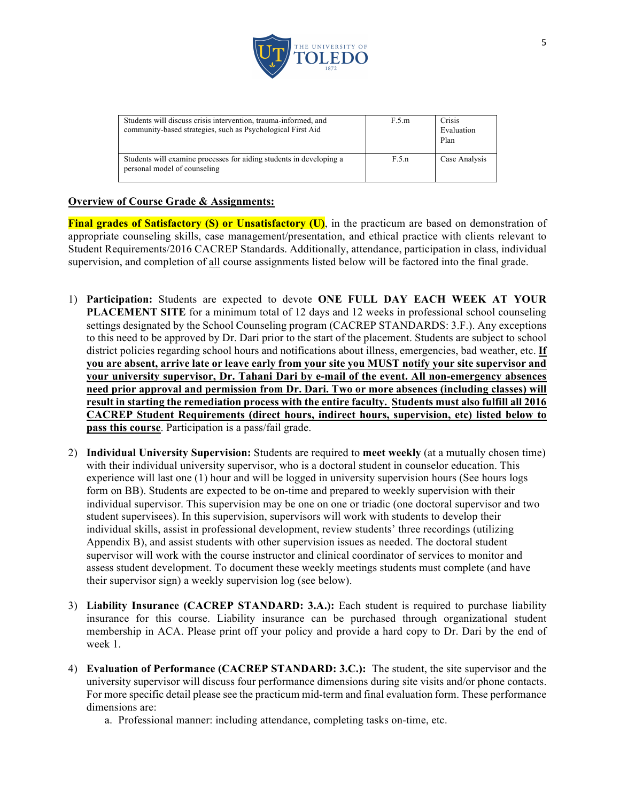

| Students will discuss crisis intervention, trauma-informed, and<br>community-based strategies, such as Psychological First Aid | F.5.m | Crisis<br>Evaluation<br>Plan |
|--------------------------------------------------------------------------------------------------------------------------------|-------|------------------------------|
| Students will examine processes for aiding students in developing a<br>personal model of counseling                            | F.5.n | Case Analysis                |

# **Overview of Course Grade & Assignments:**

**Final grades of Satisfactory (S) or Unsatisfactory (U)**, in the practicum are based on demonstration of appropriate counseling skills, case management/presentation, and ethical practice with clients relevant to Student Requirements/2016 CACREP Standards. Additionally, attendance, participation in class, individual supervision, and completion of all course assignments listed below will be factored into the final grade.

- 1) **Participation:** Students are expected to devote **ONE FULL DAY EACH WEEK AT YOUR PLACEMENT SITE** for a minimum total of 12 days and 12 weeks in professional school counseling settings designated by the School Counseling program (CACREP STANDARDS: 3.F.). Any exceptions to this need to be approved by Dr. Dari prior to the start of the placement. Students are subject to school district policies regarding school hours and notifications about illness, emergencies, bad weather, etc. **If you are absent, arrive late or leave early from your site you MUST notify your site supervisor and your university supervisor, Dr. Tahani Dari by e-mail of the event. All non-emergency absences need prior approval and permission from Dr. Dari. Two or more absences (including classes) will result in starting the remediation process with the entire faculty. Students must also fulfill all 2016 CACREP Student Requirements (direct hours, indirect hours, supervision, etc) listed below to pass this course**. Participation is a pass/fail grade.
- 2) **Individual University Supervision:** Students are required to **meet weekly** (at a mutually chosen time) with their individual university supervisor, who is a doctoral student in counselor education. This experience will last one (1) hour and will be logged in university supervision hours (See hours logs form on BB). Students are expected to be on-time and prepared to weekly supervision with their individual supervisor. This supervision may be one on one or triadic (one doctoral supervisor and two student supervisees). In this supervision, supervisors will work with students to develop their individual skills, assist in professional development, review students' three recordings (utilizing Appendix B), and assist students with other supervision issues as needed. The doctoral student supervisor will work with the course instructor and clinical coordinator of services to monitor and assess student development. To document these weekly meetings students must complete (and have their supervisor sign) a weekly supervision log (see below).
- 3) **Liability Insurance (CACREP STANDARD: 3.A.):** Each student is required to purchase liability insurance for this course. Liability insurance can be purchased through organizational student membership in ACA. Please print off your policy and provide a hard copy to Dr. Dari by the end of week 1.
- 4) **Evaluation of Performance (CACREP STANDARD: 3.C.):** The student, the site supervisor and the university supervisor will discuss four performance dimensions during site visits and/or phone contacts. For more specific detail please see the practicum mid-term and final evaluation form. These performance dimensions are:
	- a. Professional manner: including attendance, completing tasks on-time, etc.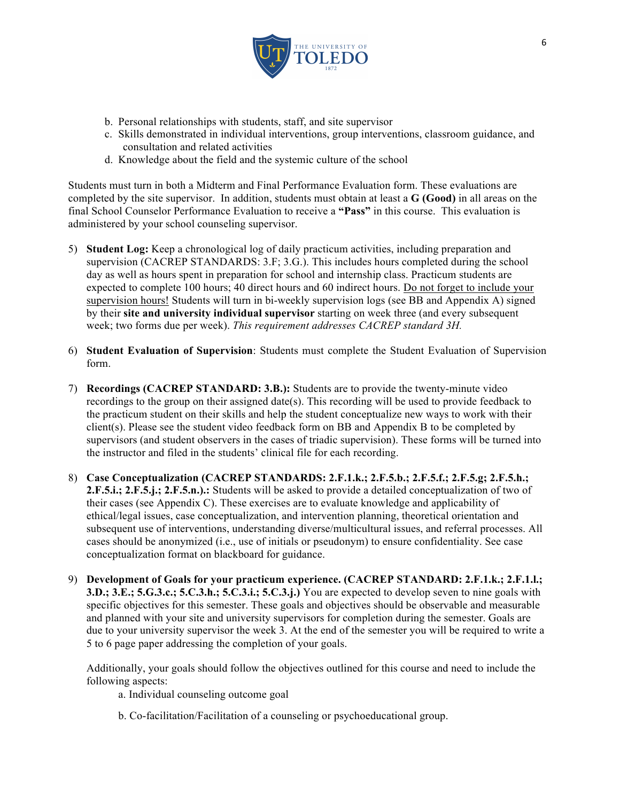

- b. Personal relationships with students, staff, and site supervisor
- c. Skills demonstrated in individual interventions, group interventions, classroom guidance, and consultation and related activities
- d. Knowledge about the field and the systemic culture of the school

Students must turn in both a Midterm and Final Performance Evaluation form. These evaluations are completed by the site supervisor. In addition, students must obtain at least a **G (Good)** in all areas on the final School Counselor Performance Evaluation to receive a **"Pass"** in this course. This evaluation is administered by your school counseling supervisor.

- 5) **Student Log:** Keep a chronological log of daily practicum activities, including preparation and supervision (CACREP STANDARDS: 3.F; 3.G.). This includes hours completed during the school day as well as hours spent in preparation for school and internship class. Practicum students are expected to complete 100 hours; 40 direct hours and 60 indirect hours. Do not forget to include your supervision hours! Students will turn in bi-weekly supervision logs (see BB and Appendix A) signed by their **site and university individual supervisor** starting on week three (and every subsequent week; two forms due per week). *This requirement addresses CACREP standard 3H.*
- 6) **Student Evaluation of Supervision**: Students must complete the Student Evaluation of Supervision form.
- 7) **Recordings (CACREP STANDARD: 3.B.):** Students are to provide the twenty-minute video recordings to the group on their assigned date(s). This recording will be used to provide feedback to the practicum student on their skills and help the student conceptualize new ways to work with their client(s). Please see the student video feedback form on BB and Appendix B to be completed by supervisors (and student observers in the cases of triadic supervision). These forms will be turned into the instructor and filed in the students' clinical file for each recording.
- 8) **Case Conceptualization (CACREP STANDARDS: 2.F.1.k.; 2.F.5.b.; 2.F.5.f.; 2.F.5.g; 2.F.5.h.; 2.F.5.i.; 2.F.5.j.; 2.F.5.n.).:** Students will be asked to provide a detailed conceptualization of two of their cases (see Appendix C). These exercises are to evaluate knowledge and applicability of ethical/legal issues, case conceptualization, and intervention planning, theoretical orientation and subsequent use of interventions, understanding diverse/multicultural issues, and referral processes. All cases should be anonymized (i.e., use of initials or pseudonym) to ensure confidentiality. See case conceptualization format on blackboard for guidance.
- 9) **Development of Goals for your practicum experience. (CACREP STANDARD: 2.F.1.k.; 2.F.1.l.; 3.D.; 3.E.; 5.G.3.c.; 5.C.3.h.; 5.C.3.i.; 5.C.3.j.)** You are expected to develop seven to nine goals with specific objectives for this semester. These goals and objectives should be observable and measurable and planned with your site and university supervisors for completion during the semester. Goals are due to your university supervisor the week 3. At the end of the semester you will be required to write a 5 to 6 page paper addressing the completion of your goals.

Additionally, your goals should follow the objectives outlined for this course and need to include the following aspects:

- a. Individual counseling outcome goal
- b. Co-facilitation/Facilitation of a counseling or psychoeducational group.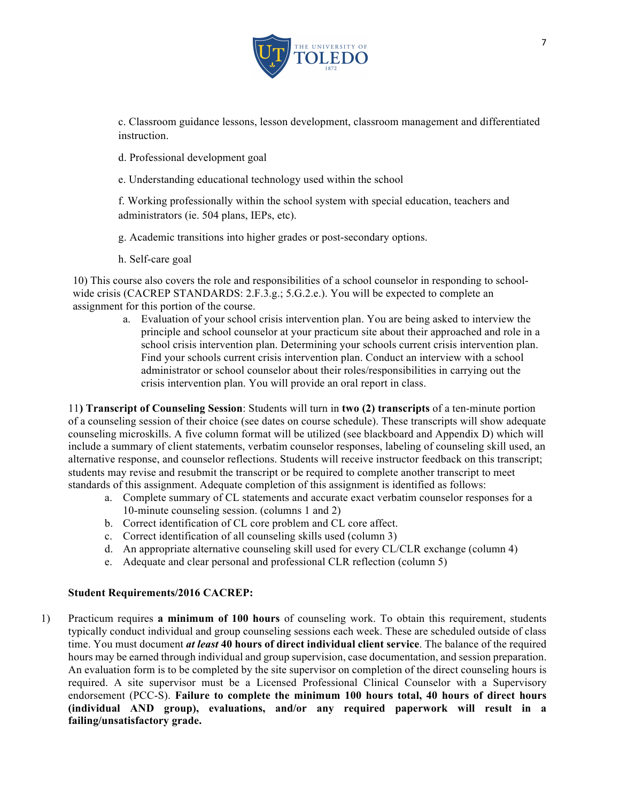

c. Classroom guidance lessons, lesson development, classroom management and differentiated instruction.

d. Professional development goal

e. Understanding educational technology used within the school

f. Working professionally within the school system with special education, teachers and administrators (ie. 504 plans, IEPs, etc).

g. Academic transitions into higher grades or post-secondary options.

h. Self-care goal

10) This course also covers the role and responsibilities of a school counselor in responding to schoolwide crisis (CACREP STANDARDS: 2.F.3.g.; 5.G.2.e.). You will be expected to complete an assignment for this portion of the course.

> a. Evaluation of your school crisis intervention plan. You are being asked to interview the principle and school counselor at your practicum site about their approached and role in a school crisis intervention plan. Determining your schools current crisis intervention plan. Find your schools current crisis intervention plan. Conduct an interview with a school administrator or school counselor about their roles/responsibilities in carrying out the crisis intervention plan. You will provide an oral report in class.

11**) Transcript of Counseling Session**: Students will turn in **two (2) transcripts** of a ten-minute portion of a counseling session of their choice (see dates on course schedule). These transcripts will show adequate counseling microskills. A five column format will be utilized (see blackboard and Appendix D) which will include a summary of client statements, verbatim counselor responses, labeling of counseling skill used, an alternative response, and counselor reflections. Students will receive instructor feedback on this transcript; students may revise and resubmit the transcript or be required to complete another transcript to meet standards of this assignment. Adequate completion of this assignment is identified as follows:

- a. Complete summary of CL statements and accurate exact verbatim counselor responses for a 10-minute counseling session. (columns 1 and 2)
- b. Correct identification of CL core problem and CL core affect.
- c. Correct identification of all counseling skills used (column 3)
- d. An appropriate alternative counseling skill used for every CL/CLR exchange (column 4)
- e. Adequate and clear personal and professional CLR reflection (column 5)

#### **Student Requirements/2016 CACREP:**

1) Practicum requires **a minimum of 100 hours** of counseling work. To obtain this requirement, students typically conduct individual and group counseling sessions each week. These are scheduled outside of class time. You must document *at least* **40 hours of direct individual client service**. The balance of the required hours may be earned through individual and group supervision, case documentation, and session preparation. An evaluation form is to be completed by the site supervisor on completion of the direct counseling hours is required. A site supervisor must be a Licensed Professional Clinical Counselor with a Supervisory endorsement (PCC-S). **Failure to complete the minimum 100 hours total, 40 hours of direct hours (individual AND group), evaluations, and/or any required paperwork will result in a failing/unsatisfactory grade.**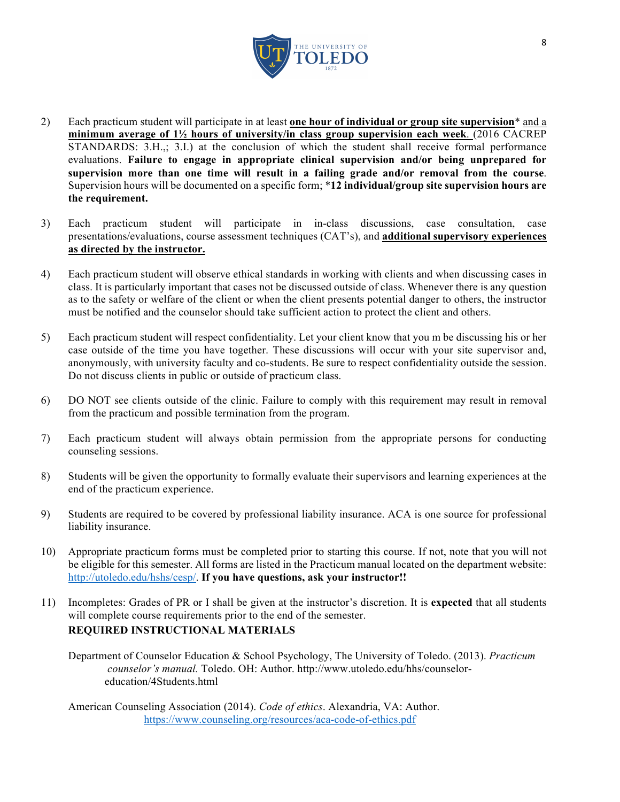

- 2) Each practicum student will participate in at least **one hour of individual or group site supervision**\* and a **minimum average of 1½ hours of university/in class group supervision each week**. (2016 CACREP STANDARDS: 3.H.,; 3.I.) at the conclusion of which the student shall receive formal performance evaluations. **Failure to engage in appropriate clinical supervision and/or being unprepared for supervision more than one time will result in a failing grade and/or removal from the course**. Supervision hours will be documented on a specific form; \***12 individual/group site supervision hours are the requirement.**
- 3) Each practicum student will participate in in-class discussions, case consultation, case presentations/evaluations, course assessment techniques (CAT's), and **additional supervisory experiences as directed by the instructor.**
- 4) Each practicum student will observe ethical standards in working with clients and when discussing cases in class. It is particularly important that cases not be discussed outside of class. Whenever there is any question as to the safety or welfare of the client or when the client presents potential danger to others, the instructor must be notified and the counselor should take sufficient action to protect the client and others.
- 5) Each practicum student will respect confidentiality. Let your client know that you m be discussing his or her case outside of the time you have together. These discussions will occur with your site supervisor and, anonymously, with university faculty and co-students. Be sure to respect confidentiality outside the session. Do not discuss clients in public or outside of practicum class.
- 6) DO NOT see clients outside of the clinic. Failure to comply with this requirement may result in removal from the practicum and possible termination from the program.
- 7) Each practicum student will always obtain permission from the appropriate persons for conducting counseling sessions.
- 8) Students will be given the opportunity to formally evaluate their supervisors and learning experiences at the end of the practicum experience.
- 9) Students are required to be covered by professional liability insurance. ACA is one source for professional liability insurance.
- 10) Appropriate practicum forms must be completed prior to starting this course. If not, note that you will not be eligible for this semester. All forms are listed in the Practicum manual located on the department website: http://utoledo.edu/hshs/cesp/. **If you have questions, ask your instructor!!**
- 11) Incompletes: Grades of PR or I shall be given at the instructor's discretion. It is **expected** that all students will complete course requirements prior to the end of the semester. **REQUIRED INSTRUCTIONAL MATERIALS** 
	- Department of Counselor Education & School Psychology, The University of Toledo. (2013). *Practicum counselor's manual.* Toledo. OH: Author. http://www.utoledo.edu/hhs/counseloreducation/4Students.html

American Counseling Association (2014). *Code of ethics*. Alexandria, VA: Author. https://www.counseling.org/resources/aca-code-of-ethics.pdf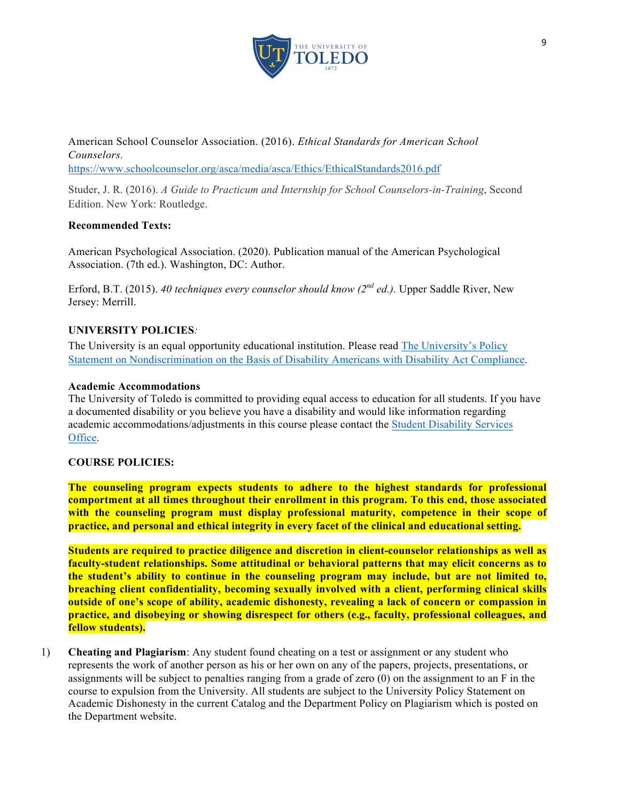

American School Counselor Association. (2016). *Ethical Standards for American School Counselors.* 

https://www.schoolcounselor.org/asca/media/asca/Ethics/EthicalStandards2016.pdf

Studer, J. R. (2016). *A Guide to Practicum and Internship for School Counselors-in-Training*, Second Edition. New York: Routledge.

### **Recommended Texts:**

American Psychological Association. (2020). Publication manual of the American Psychological Association. (7th ed.). Washington, DC: Author.

Erford, B.T. (2015). *40 techniques every counselor should know (2nd ed.).* Upper Saddle River, New Jersey: Merrill.

# **UNIVERSITY POLICIES***:*

The University is an equal opportunity educational institution. Please read The University's Policy Statement on Nondiscrimination on the Basis of Disability Americans with Disability Act Compliance.

### **Academic Accommodations**

The University of Toledo is committed to providing equal access to education for all students. If you have a documented disability or you believe you have a disability and would like information regarding academic accommodations/adjustments in this course please contact the Student Disability Services Office.

### **COURSE POLICIES:**

**The counseling program expects students to adhere to the highest standards for professional comportment at all times throughout their enrollment in this program. To this end, those associated with the counseling program must display professional maturity, competence in their scope of practice, and personal and ethical integrity in every facet of the clinical and educational setting.** 

**Students are required to practice diligence and discretion in client-counselor relationships as well as faculty-student relationships. Some attitudinal or behavioral patterns that may elicit concerns as to the student's ability to continue in the counseling program may include, but are not limited to, breaching client confidentiality, becoming sexually involved with a client, performing clinical skills outside of one's scope of ability, academic dishonesty, revealing a lack of concern or compassion in practice, and disobeying or showing disrespect for others (e.g., faculty, professional colleagues, and fellow students).**

1) **Cheating and Plagiarism**: Any student found cheating on a test or assignment or any student who represents the work of another person as his or her own on any of the papers, projects, presentations, or assignments will be subject to penalties ranging from a grade of zero (0) on the assignment to an F in the course to expulsion from the University. All students are subject to the University Policy Statement on Academic Dishonesty in the current Catalog and the Department Policy on Plagiarism which is posted on the Department website.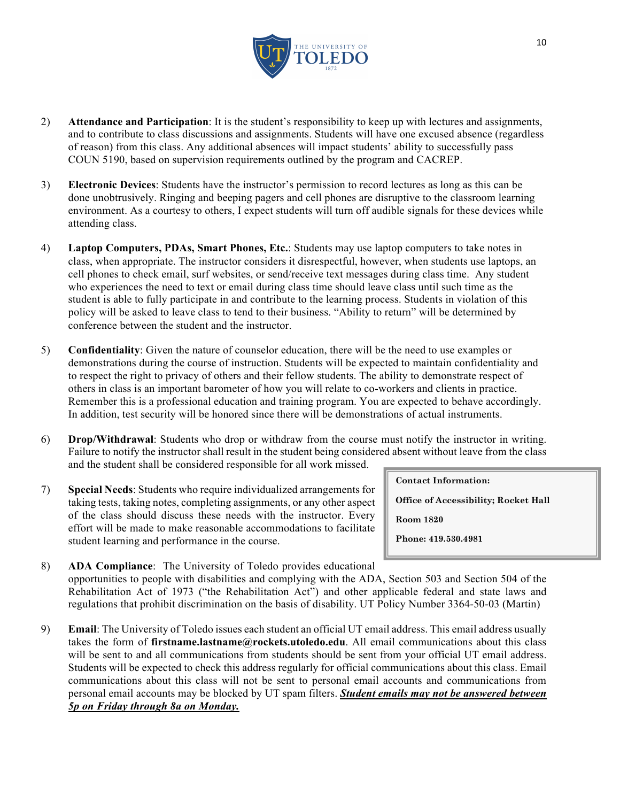

- 2) **Attendance and Participation**: It is the student's responsibility to keep up with lectures and assignments, and to contribute to class discussions and assignments. Students will have one excused absence (regardless of reason) from this class. Any additional absences will impact students' ability to successfully pass COUN 5190, based on supervision requirements outlined by the program and CACREP.
- 3) **Electronic Devices**: Students have the instructor's permission to record lectures as long as this can be done unobtrusively. Ringing and beeping pagers and cell phones are disruptive to the classroom learning environment. As a courtesy to others, I expect students will turn off audible signals for these devices while attending class.
- 4) **Laptop Computers, PDAs, Smart Phones, Etc.**: Students may use laptop computers to take notes in class, when appropriate. The instructor considers it disrespectful, however, when students use laptops, an cell phones to check email, surf websites, or send/receive text messages during class time. Any student who experiences the need to text or email during class time should leave class until such time as the student is able to fully participate in and contribute to the learning process. Students in violation of this policy will be asked to leave class to tend to their business. "Ability to return" will be determined by conference between the student and the instructor.
- 5) **Confidentiality**: Given the nature of counselor education, there will be the need to use examples or demonstrations during the course of instruction. Students will be expected to maintain confidentiality and to respect the right to privacy of others and their fellow students. The ability to demonstrate respect of others in class is an important barometer of how you will relate to co-workers and clients in practice. Remember this is a professional education and training program. You are expected to behave accordingly. In addition, test security will be honored since there will be demonstrations of actual instruments.
- 6) **Drop/Withdrawal**: Students who drop or withdraw from the course must notify the instructor in writing. Failure to notify the instructor shall result in the student being considered absent without leave from the class and the student shall be considered responsible for all work missed.
- 7) **Special Needs**: Students who require individualized arrangements for taking tests, taking notes, completing assignments, or any other aspect of the class should discuss these needs with the instructor. Every effort will be made to make reasonable accommodations to facilitate student learning and performance in the course.

**Contact Information:** 

**Office of Accessibility; Rocket Hall**

**Room 1820**

**Phone: 419.530.4981**

- 8) **ADA Compliance**: The University of Toledo provides educational opportunities to people with disabilities and complying with the ADA, Section 503 and Section 504 of the Rehabilitation Act of 1973 ("the Rehabilitation Act") and other applicable federal and state laws and regulations that prohibit discrimination on the basis of disability. UT Policy Number 3364-50-03 (Martin) **TTY/VP: 419.530.2612**
- 9) **Email**: The University of Toledo issues each student an official UT email address. This email address usually takes the form of **firstname.lastname@rockets.utoledo.edu**. All email communications about this class will be sent to and all communications from students should be sent from your official UT email address. Students will be expected to check this address regularly for official communications about this class. Email communications about this class will not be sent to personal email accounts and communications from personal email accounts may be blocked by UT spam filters. *Student emails may not be answered between 5p on Friday through 8a on Monday.*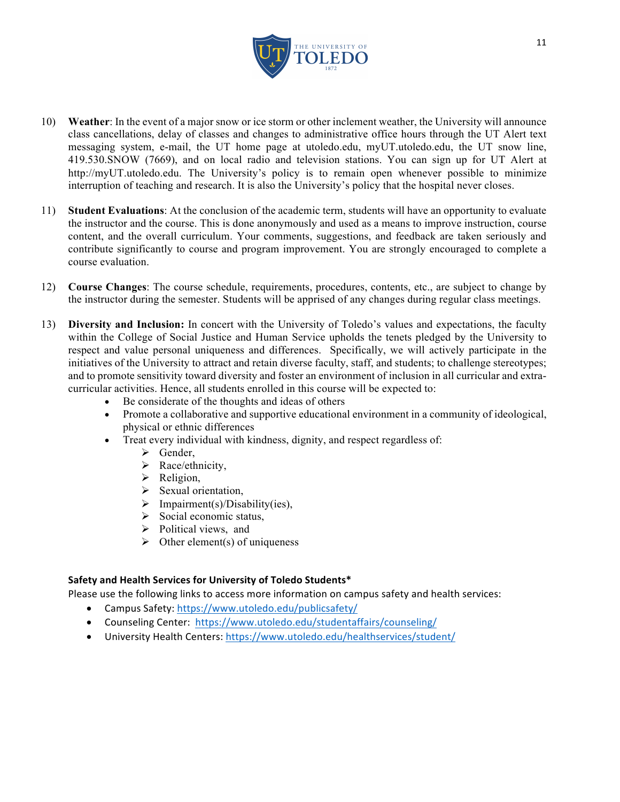

- 10) **Weather**: In the event of a major snow or ice storm or other inclement weather, the University will announce class cancellations, delay of classes and changes to administrative office hours through the UT Alert text messaging system, e-mail, the UT home page at utoledo.edu, myUT.utoledo.edu, the UT snow line, 419.530.SNOW (7669), and on local radio and television stations. You can sign up for UT Alert at http://myUT.utoledo.edu. The University's policy is to remain open whenever possible to minimize interruption of teaching and research. It is also the University's policy that the hospital never closes.
- 11) **Student Evaluations**: At the conclusion of the academic term, students will have an opportunity to evaluate the instructor and the course. This is done anonymously and used as a means to improve instruction, course content, and the overall curriculum. Your comments, suggestions, and feedback are taken seriously and contribute significantly to course and program improvement. You are strongly encouraged to complete a course evaluation.
- 12) **Course Changes**: The course schedule, requirements, procedures, contents, etc., are subject to change by the instructor during the semester. Students will be apprised of any changes during regular class meetings.
- 13) **Diversity and Inclusion:** In concert with the University of Toledo's values and expectations, the faculty within the College of Social Justice and Human Service upholds the tenets pledged by the University to respect and value personal uniqueness and differences. Specifically, we will actively participate in the initiatives of the University to attract and retain diverse faculty, staff, and students; to challenge stereotypes; and to promote sensitivity toward diversity and foster an environment of inclusion in all curricular and extracurricular activities. Hence, all students enrolled in this course will be expected to:
	- Be considerate of the thoughts and ideas of others
	- Promote a collaborative and supportive educational environment in a community of ideological, physical or ethnic differences
	- Treat every individual with kindness, dignity, and respect regardless of:
		- $\triangleright$  Gender,
		- $\triangleright$  Race/ethnicity,
		- $\triangleright$  Religion,
		- $\triangleright$  Sexual orientation,
		- $\triangleright$  Impairment(s)/Disability(ies),
		- $\triangleright$  Social economic status,
		- $\triangleright$  Political views, and
		- $\triangleright$  Other element(s) of uniqueness

### Safety and Health Services for University of Toledo Students\*

Please use the following links to access more information on campus safety and health services:

- Campus Safety: https://www.utoledo.edu/publicsafety/
- Counseling Center: https://www.utoledo.edu/studentaffairs/counseling/
- University Health Centers: https://www.utoledo.edu/healthservices/student/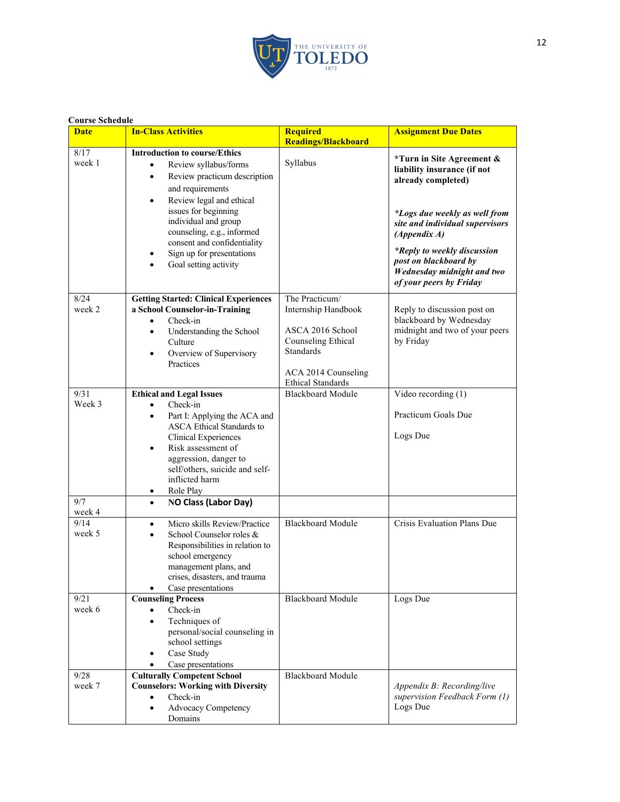

| <b>Course Schedule</b>          |                                                                                                                                                                                                                                                                                                                                                                           |                                                                                                                                                        |                                                                                                                                                                                                                                                                                     |
|---------------------------------|---------------------------------------------------------------------------------------------------------------------------------------------------------------------------------------------------------------------------------------------------------------------------------------------------------------------------------------------------------------------------|--------------------------------------------------------------------------------------------------------------------------------------------------------|-------------------------------------------------------------------------------------------------------------------------------------------------------------------------------------------------------------------------------------------------------------------------------------|
| <b>Date</b>                     | <b>In-Class Activities</b>                                                                                                                                                                                                                                                                                                                                                | <b>Required</b><br><b>Readings/Blackboard</b>                                                                                                          | <b>Assignment Due Dates</b>                                                                                                                                                                                                                                                         |
| 8/17<br>week 1                  | <b>Introduction to course/Ethics</b><br>Review syllabus/forms<br>$\bullet$<br>Review practicum description<br>$\bullet$<br>and requirements<br>Review legal and ethical<br>$\bullet$<br>issues for beginning<br>individual and group<br>counseling, e.g., informed<br>consent and confidentiality<br>Sign up for presentations<br>$\bullet$<br>Goal setting activity<br>٠ | Syllabus                                                                                                                                               | *Turn in Site Agreement &<br>liability insurance (if not<br>already completed)<br>*Logs due weekly as well from<br>site and individual supervisors<br>(Appendix A)<br>*Reply to weekly discussion<br>post on blackboard by<br>Wednesday midnight and two<br>of your peers by Friday |
| 8/24<br>week 2                  | <b>Getting Started: Clinical Experiences</b><br>a School Counselor-in-Training<br>Check-in<br>$\bullet$<br>Understanding the School<br>٠<br>Culture<br>Overview of Supervisory<br>Practices                                                                                                                                                                               | The Practicum/<br>Internship Handbook<br>ASCA 2016 School<br>Counseling Ethical<br><b>Standards</b><br>ACA 2014 Counseling<br><b>Ethical Standards</b> | Reply to discussion post on<br>blackboard by Wednesday<br>midnight and two of your peers<br>by Friday                                                                                                                                                                               |
| 9/31<br>Week 3                  | <b>Ethical and Legal Issues</b><br>Check-in<br>Part I: Applying the ACA and<br>$\bullet$<br><b>ASCA Ethical Standards to</b><br>Clinical Experiences<br>Risk assessment of<br>٠<br>aggression, danger to<br>self/others, suicide and self-<br>inflicted harm<br>Role Play<br>٠                                                                                            | <b>Blackboard Module</b>                                                                                                                               | Video recording (1)<br>Practicum Goals Due<br>Logs Due                                                                                                                                                                                                                              |
| 9/7<br>week 4<br>9/14<br>week 5 | <b>NO Class (Labor Day)</b><br>$\bullet$<br>Micro skills Review/Practice<br>$\bullet$<br>School Counselor roles &<br>$\bullet$<br>Responsibilities in relation to<br>school emergency<br>management plans, and<br>crises, disasters, and trauma                                                                                                                           | <b>Blackboard Module</b>                                                                                                                               | Crisis Evaluation Plans Due                                                                                                                                                                                                                                                         |
| 9/21<br>week 6                  | Case presentations<br><b>Counseling Process</b><br>Check-in<br>Techniques of<br>personal/social counseling in<br>school settings<br>Case Study<br>Case presentations                                                                                                                                                                                                      | <b>Blackboard Module</b>                                                                                                                               | Logs Due                                                                                                                                                                                                                                                                            |
| 9/28<br>week 7                  | <b>Culturally Competent School</b><br><b>Counselors: Working with Diversity</b><br>Check-in<br>$\bullet$<br><b>Advocacy Competency</b><br>Domains                                                                                                                                                                                                                         | <b>Blackboard Module</b>                                                                                                                               | Appendix B: Recording/live<br>supervision Feedback Form (1)<br>Logs Due                                                                                                                                                                                                             |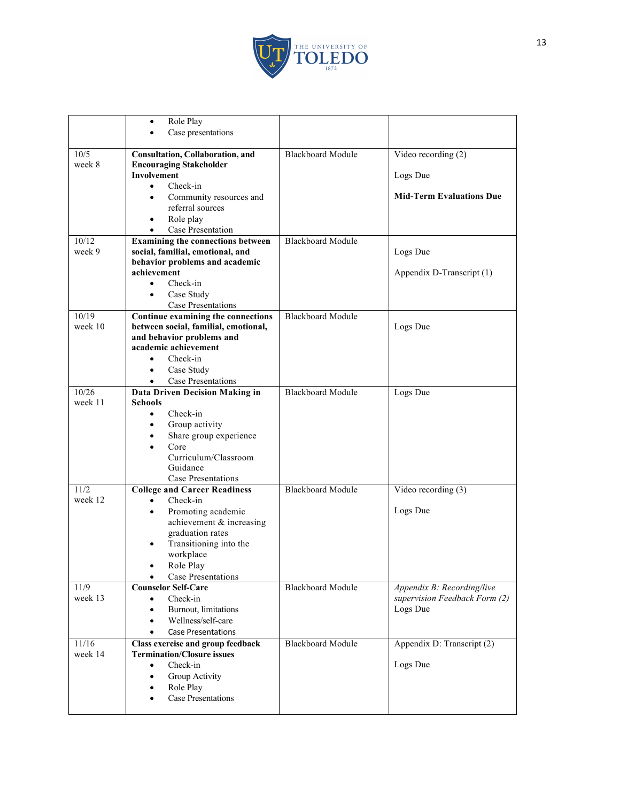

|                 | Role Play<br>$\bullet$                   |                          |                                                             |
|-----------------|------------------------------------------|--------------------------|-------------------------------------------------------------|
|                 | Case presentations                       |                          |                                                             |
| 10/5            | Consultation, Collaboration, and         | <b>Blackboard Module</b> | Video recording (2)                                         |
| week 8          | <b>Encouraging Stakeholder</b>           |                          |                                                             |
|                 | <b>Involvement</b>                       |                          | Logs Due                                                    |
|                 | Check-in                                 |                          |                                                             |
|                 | Community resources and<br>٠             |                          | <b>Mid-Term Evaluations Due</b>                             |
|                 | referral sources                         |                          |                                                             |
|                 | Role play                                |                          |                                                             |
|                 | Case Presentation                        |                          |                                                             |
| 10/12           | <b>Examining the connections between</b> | <b>Blackboard Module</b> |                                                             |
| week 9          | social, familial, emotional, and         |                          | Logs Due                                                    |
|                 | behavior problems and academic           |                          |                                                             |
|                 | achievement                              |                          | Appendix D-Transcript (1)                                   |
|                 | Check-in                                 |                          |                                                             |
|                 | Case Study<br><b>Case Presentations</b>  |                          |                                                             |
| 10/19           | Continue examining the connections       | <b>Blackboard Module</b> |                                                             |
| week 10         | between social, familial, emotional,     |                          | Logs Due                                                    |
|                 | and behavior problems and                |                          |                                                             |
|                 | academic achievement                     |                          |                                                             |
|                 | Check-in                                 |                          |                                                             |
|                 | Case Study<br>$\bullet$                  |                          |                                                             |
|                 | Case Presentations                       |                          |                                                             |
| 10/26           | Data Driven Decision Making in           | <b>Blackboard Module</b> | Logs Due                                                    |
| week 11         | <b>Schools</b>                           |                          |                                                             |
|                 | Check-in<br>$\bullet$                    |                          |                                                             |
|                 | Group activity<br>٠                      |                          |                                                             |
|                 | Share group experience<br>$\bullet$      |                          |                                                             |
|                 | Core<br>Curriculum/Classroom             |                          |                                                             |
|                 | Guidance                                 |                          |                                                             |
|                 | Case Presentations                       |                          |                                                             |
| 11/2            | <b>College and Career Readiness</b>      | <b>Blackboard Module</b> | Video recording (3)                                         |
| week 12         | Check-in<br>$\bullet$                    |                          |                                                             |
|                 | Promoting academic<br>$\bullet$          |                          | Logs Due                                                    |
|                 | achievement & increasing                 |                          |                                                             |
|                 | graduation rates                         |                          |                                                             |
|                 | Transitioning into the                   |                          |                                                             |
|                 | workplace                                |                          |                                                             |
|                 | Role Play                                |                          |                                                             |
|                 | Case Presentations<br>$\bullet$          |                          |                                                             |
| 11/9<br>week 13 | <b>Counselor Self-Care</b><br>Check-in   | <b>Blackboard Module</b> | Appendix B: Recording/live<br>supervision Feedback Form (2) |
|                 | Burnout, limitations<br>$\bullet$        |                          | Logs Due                                                    |
|                 | Wellness/self-care                       |                          |                                                             |
|                 | <b>Case Presentations</b>                |                          |                                                             |
| 11/16           | Class exercise and group feedback        | <b>Blackboard Module</b> | Appendix D: Transcript (2)                                  |
| week 14         | <b>Termination/Closure issues</b>        |                          |                                                             |
|                 | Check-in<br>$\bullet$                    |                          | Logs Due                                                    |
|                 | Group Activity<br>$\bullet$              |                          |                                                             |
|                 | Role Play<br>٠                           |                          |                                                             |
|                 | <b>Case Presentations</b>                |                          |                                                             |
|                 |                                          |                          |                                                             |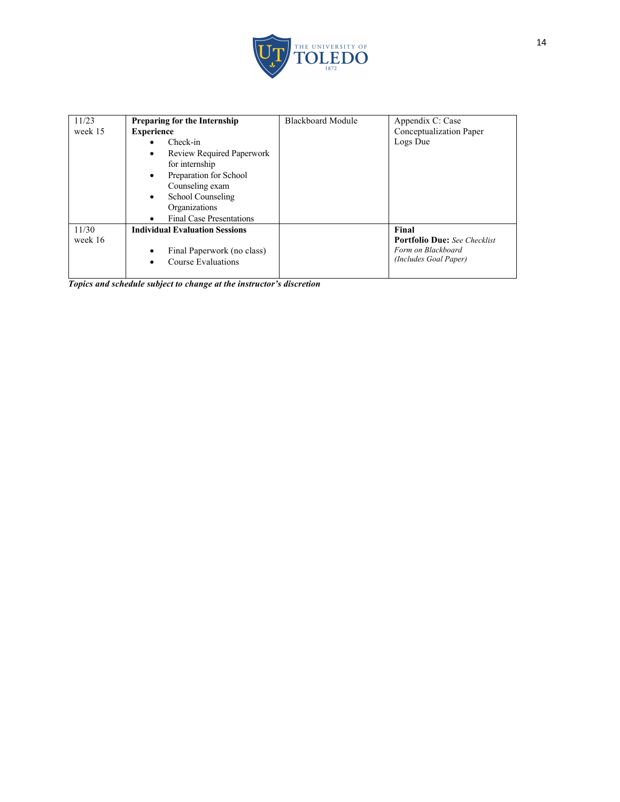

| 11/23   | <b>Preparing for the Internship</b>   | <b>Blackboard Module</b> | Appendix C: Case                    |
|---------|---------------------------------------|--------------------------|-------------------------------------|
| week 15 | <b>Experience</b>                     |                          | Conceptualization Paper             |
|         | Check-in                              |                          | Logs Due                            |
|         | Review Required Paperwork             |                          |                                     |
|         | for internship                        |                          |                                     |
|         | Preparation for School<br>٠           |                          |                                     |
|         | Counseling exam                       |                          |                                     |
|         | School Counseling<br>$\bullet$        |                          |                                     |
|         | Organizations                         |                          |                                     |
|         | <b>Final Case Presentations</b>       |                          |                                     |
| 11/30   | <b>Individual Evaluation Sessions</b> |                          | Final                               |
| week 16 |                                       |                          | <b>Portfolio Due:</b> See Checklist |
|         | Final Paperwork (no class)            |                          | Form on Blackboard                  |
|         | Course Evaluations                    |                          | (Includes Goal Paper)               |
|         |                                       |                          |                                     |

*Topics and schedule subject to change at the instructor's discretion*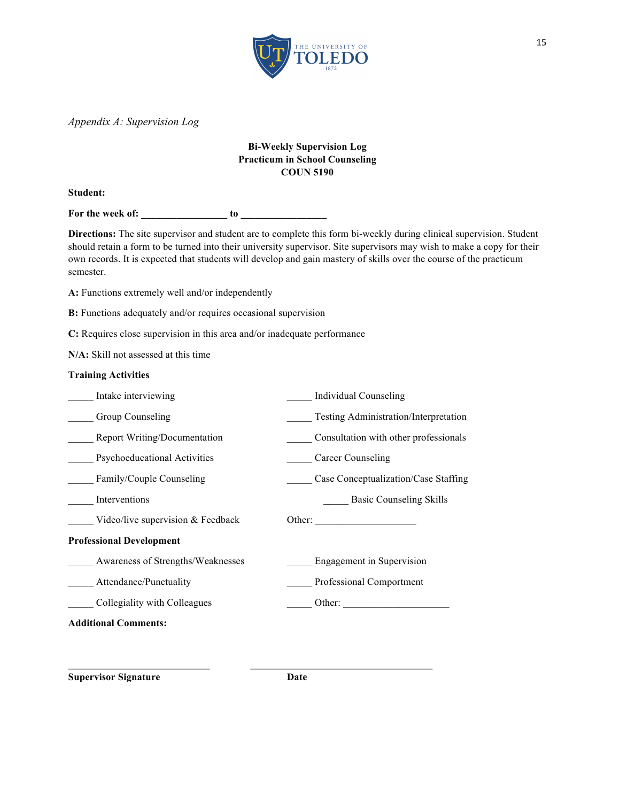

*Appendix A: Supervision Log*

### **Bi-Weekly Supervision Log Practicum in School Counseling COUN 5190**

**Student:**

For the week of: <u>\_\_\_\_\_\_</u> to

**Directions:** The site supervisor and student are to complete this form bi-weekly during clinical supervision. Student should retain a form to be turned into their university supervisor. Site supervisors may wish to make a copy for their own records. It is expected that students will develop and gain mastery of skills over the course of the practicum semester.

A: Functions extremely well and/or independently

**B:** Functions adequately and/or requires occasional supervision

**C:** Requires close supervision in this area and/or inadequate performance

**N/A:** Skill not assessed at this time

#### **Training Activities**

| Intake interviewing                 | <b>Individual Counseling</b>          |
|-------------------------------------|---------------------------------------|
| Group Counseling                    | Testing Administration/Interpretation |
| <b>Report Writing/Documentation</b> | Consultation with other professionals |
| <b>Psychoeducational Activities</b> | Career Counseling                     |
| Family/Couple Counseling            | Case Conceptualization/Case Staffing  |
| Interventions                       | <b>Basic Counseling Skills</b>        |
| Video/live supervision $&$ Feedback | Other:                                |
| <b>Professional Development</b>     |                                       |
| Awareness of Strengths/Weaknesses   | Engagement in Supervision             |
| Attendance/Punctuality              | Professional Comportment              |
| Collegiality with Colleagues        | Other:                                |
| <b>Additional Comments:</b>         |                                       |

**\_\_\_\_\_\_\_\_\_\_\_\_\_\_\_\_\_\_\_\_\_\_\_\_\_\_\_\_ \_\_\_\_\_\_\_\_\_\_\_\_\_\_\_\_\_\_\_\_\_\_\_\_\_\_\_\_\_\_\_\_\_\_\_\_**

**Supervisor Signature Date**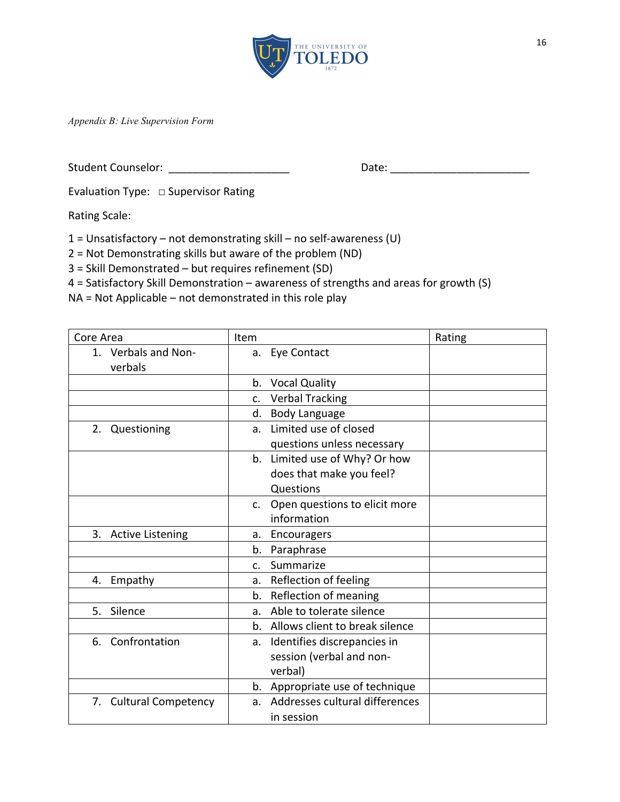

*Appendix B: Live Supervision Form*

Student Counselor: \_\_\_\_\_\_\_\_\_\_\_\_\_\_\_\_\_\_\_\_ Date: \_\_\_\_\_\_\_\_\_\_\_\_\_\_\_\_\_\_\_\_\_\_\_

Evaluation Type:  $\Box$  Supervisor Rating

Rating Scale:

 $1$  = Unsatisfactory – not demonstrating skill – no self-awareness (U)

 $2$  = Not Demonstrating skills but aware of the problem (ND)

 $3$  = Skill Demonstrated – but requires refinement (SD)

 $4$  = Satisfactory Skill Demonstration – awareness of strengths and areas for growth (S)

 $NA = Not Applied - not demonstrated in this role play$ 

| Core Area                      | Item                                            | Rating |
|--------------------------------|-------------------------------------------------|--------|
| 1. Verbals and Non-<br>verbals | a. Eye Contact                                  |        |
|                                | b. Vocal Quality                                |        |
|                                | <b>Verbal Tracking</b><br>C <sub>1</sub>        |        |
|                                | <b>Body Language</b><br>d.                      |        |
| 2. Questioning                 | Limited use of closed<br>a.                     |        |
|                                | questions unless necessary                      |        |
|                                | b. Limited use of Why? Or how                   |        |
|                                | does that make you feel?                        |        |
|                                | Questions                                       |        |
|                                | Open questions to elicit more<br>C <sub>1</sub> |        |
|                                | information                                     |        |
| 3. Active Listening            | Encouragers<br>a.                               |        |
|                                | Paraphrase<br>b.                                |        |
|                                | Summarize<br>$\mathsf{C}$ .                     |        |
| Empathy<br>4.                  | Reflection of feeling<br>a.                     |        |
|                                | Reflection of meaning<br>b.                     |        |
| Silence<br>5.                  | Able to tolerate silence<br>$a_{-}$             |        |
|                                | b. Allows client to break silence               |        |
| Confrontation<br>6.            | Identifies discrepancies in<br>а.               |        |
|                                | session (verbal and non-                        |        |
|                                | verbal)                                         |        |
|                                | b. Appropriate use of technique                 |        |
| 7. Cultural Competency         | a. Addresses cultural differences               |        |
|                                | in session                                      |        |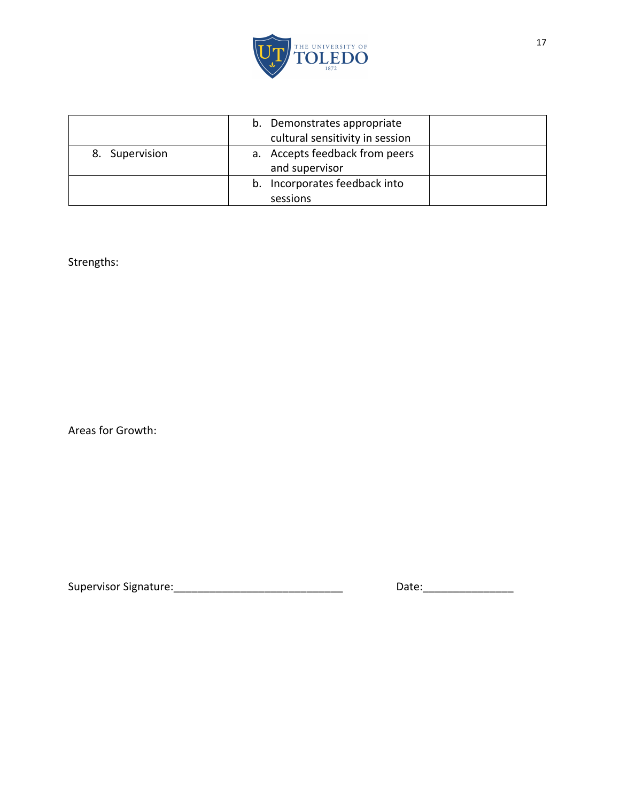

|                | b. Demonstrates appropriate<br>cultural sensitivity in session |
|----------------|----------------------------------------------------------------|
| 8. Supervision | a. Accepts feedback from peers<br>and supervisor               |
|                | b. Incorporates feedback into<br>sessions                      |

Strengths:

Areas for Growth:

Supervisor Signature:\_\_\_\_\_\_\_\_\_\_\_\_\_\_\_\_\_\_\_\_\_\_\_\_\_\_\_\_ Date:\_\_\_\_\_\_\_\_\_\_\_\_\_\_\_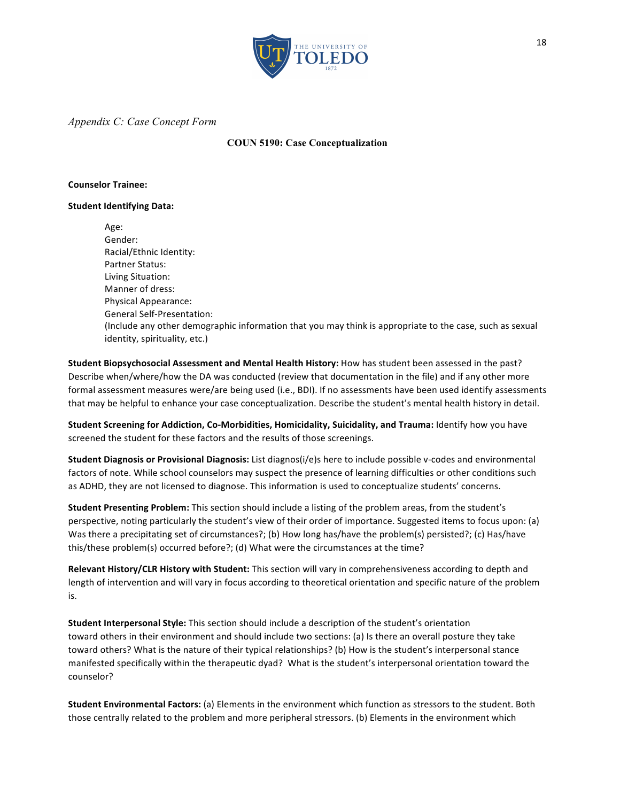

#### *Appendix C: Case Concept Form*

#### **COUN 5190: Case Conceptualization**

#### **Counselor Trainee:**

#### **Student Identifying Data:**

Age: Gender: Racial/Ethnic Identity: Partner Status: Living Situation: Manner of dress: Physical Appearance: General Self-Presentation: (Include any other demographic information that you may think is appropriate to the case, such as sexual identity, spirituality, etc.)

Student Biopsychosocial Assessment and Mental Health History: How has student been assessed in the past? Describe when/where/how the DA was conducted (review that documentation in the file) and if any other more formal assessment measures were/are being used (i.e., BDI). If no assessments have been used identify assessments that may be helpful to enhance your case conceptualization. Describe the student's mental health history in detail.

**Student Screening for Addiction, Co-Morbidities, Homicidality, Suicidality, and Trauma: Identify how you have** screened the student for these factors and the results of those screenings.

**Student Diagnosis or Provisional Diagnosis:** List diagnos(i/e)s here to include possible v-codes and environmental factors of note. While school counselors may suspect the presence of learning difficulties or other conditions such as ADHD, they are not licensed to diagnose. This information is used to conceptualize students' concerns.

**Student Presenting Problem:** This section should include a listing of the problem areas, from the student's perspective, noting particularly the student's view of their order of importance. Suggested items to focus upon: (a) Was there a precipitating set of circumstances?; (b) How long has/have the problem(s) persisted?; (c) Has/have this/these problem(s) occurred before?; (d) What were the circumstances at the time?

**Relevant History/CLR History with Student:** This section will vary in comprehensiveness according to depth and length of intervention and will vary in focus according to theoretical orientation and specific nature of the problem is.

**Student Interpersonal Style:** This section should include a description of the student's orientation toward others in their environment and should include two sections: (a) Is there an overall posture they take toward others? What is the nature of their typical relationships? (b) How is the student's interpersonal stance manifested specifically within the therapeutic dyad? What is the student's interpersonal orientation toward the counselor?

**Student Environmental Factors:** (a) Elements in the environment which function as stressors to the student. Both those centrally related to the problem and more peripheral stressors. (b) Elements in the environment which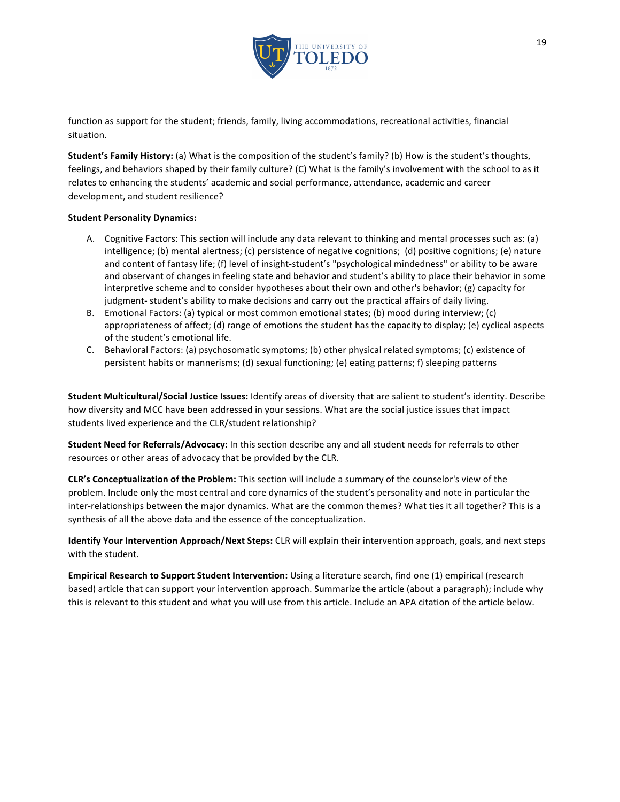

function as support for the student; friends, family, living accommodations, recreational activities, financial situation.

**Student's Family History:** (a) What is the composition of the student's family? (b) How is the student's thoughts, feelings, and behaviors shaped by their family culture? (C) What is the family's involvement with the school to as it relates to enhancing the students' academic and social performance, attendance, academic and career development, and student resilience?

#### **Student Personality Dynamics:**

- A. Cognitive Factors: This section will include any data relevant to thinking and mental processes such as: (a) intelligence; (b) mental alertness; (c) persistence of negative cognitions; (d) positive cognitions; (e) nature and content of fantasy life; (f) level of insight-student's "psychological mindedness" or ability to be aware and observant of changes in feeling state and behavior and student's ability to place their behavior in some interpretive scheme and to consider hypotheses about their own and other's behavior;  $(g)$  capacity for judgment- student's ability to make decisions and carry out the practical affairs of daily living.
- B. Emotional Factors: (a) typical or most common emotional states; (b) mood during interview; (c) appropriateness of affect; (d) range of emotions the student has the capacity to display; (e) cyclical aspects of the student's emotional life.
- C. Behavioral Factors: (a) psychosomatic symptoms; (b) other physical related symptoms; (c) existence of persistent habits or mannerisms; (d) sexual functioning; (e) eating patterns; f) sleeping patterns

**Student Multicultural/Social Justice Issues:** Identify areas of diversity that are salient to student's identity. Describe how diversity and MCC have been addressed in your sessions. What are the social justice issues that impact students lived experience and the CLR/student relationship?

**Student Need for Referrals/Advocacy:** In this section describe any and all student needs for referrals to other resources or other areas of advocacy that be provided by the CLR.

**CLR's Conceptualization of the Problem:** This section will include a summary of the counselor's view of the problem. Include only the most central and core dynamics of the student's personality and note in particular the inter-relationships between the major dynamics. What are the common themes? What ties it all together? This is a synthesis of all the above data and the essence of the conceptualization.

**Identify Your Intervention Approach/Next Steps:** CLR will explain their intervention approach, goals, and next steps with the student.

**Empirical Research to Support Student Intervention:** Using a literature search, find one (1) empirical (research based) article that can support your intervention approach. Summarize the article (about a paragraph); include why this is relevant to this student and what you will use from this article. Include an APA citation of the article below.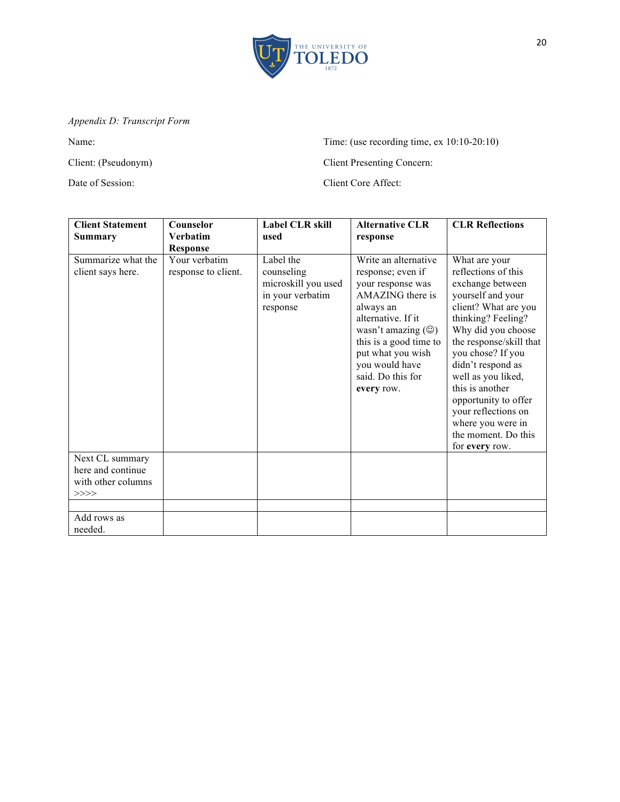

# *Appendix D: Transcript Form*

Name: Time: (use recording time, ex 10:10-20:10)

Client: (Pseudonym) Client Presenting Concern:

Date of Session: Client Core Affect:

| <b>Client Statement</b>                                            | Counselor                            | <b>Label CLR skill</b>                                                         | <b>Alternative CLR</b>                                                                                                                                                                                                                                       | <b>CLR Reflections</b>                                                                                                                                                                                                                                                                                                                                                       |
|--------------------------------------------------------------------|--------------------------------------|--------------------------------------------------------------------------------|--------------------------------------------------------------------------------------------------------------------------------------------------------------------------------------------------------------------------------------------------------------|------------------------------------------------------------------------------------------------------------------------------------------------------------------------------------------------------------------------------------------------------------------------------------------------------------------------------------------------------------------------------|
| <b>Summary</b>                                                     | <b>Verbatim</b><br><b>Response</b>   | used                                                                           | response                                                                                                                                                                                                                                                     |                                                                                                                                                                                                                                                                                                                                                                              |
| Summarize what the<br>client says here.                            | Your verbatim<br>response to client. | Label the<br>counseling<br>microskill you used<br>in your verbatim<br>response | Write an alternative<br>response; even if<br>your response was<br>AMAZING there is<br>always an<br>alternative. If it<br>wasn't amazing $(\circledcirc)$<br>this is a good time to<br>put what you wish<br>you would have<br>said. Do this for<br>every row. | What are your<br>reflections of this<br>exchange between<br>yourself and your<br>client? What are you<br>thinking? Feeling?<br>Why did you choose<br>the response/skill that<br>you chose? If you<br>didn't respond as<br>well as you liked,<br>this is another<br>opportunity to offer<br>your reflections on<br>where you were in<br>the moment. Do this<br>for every row. |
| Next CL summary<br>here and continue<br>with other columns<br>>>>> |                                      |                                                                                |                                                                                                                                                                                                                                                              |                                                                                                                                                                                                                                                                                                                                                                              |
|                                                                    |                                      |                                                                                |                                                                                                                                                                                                                                                              |                                                                                                                                                                                                                                                                                                                                                                              |
| Add rows as<br>needed.                                             |                                      |                                                                                |                                                                                                                                                                                                                                                              |                                                                                                                                                                                                                                                                                                                                                                              |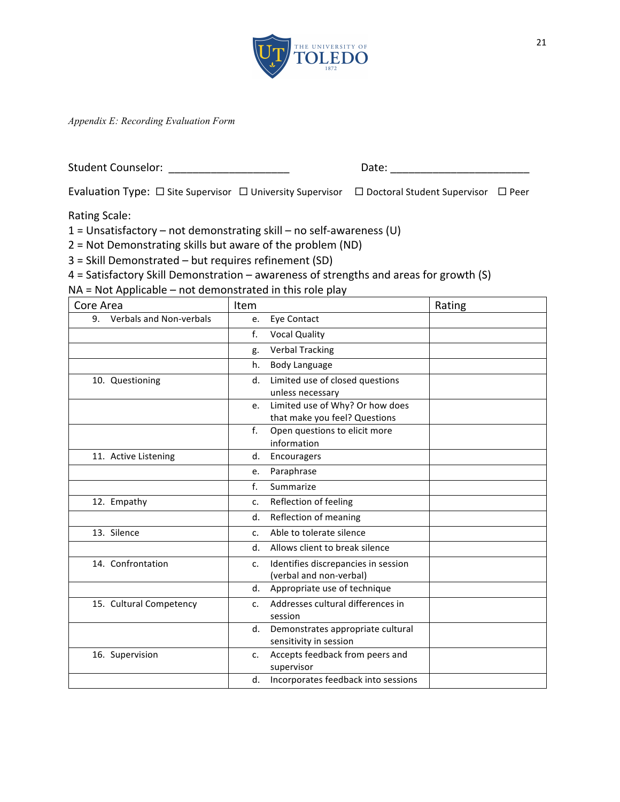

*Appendix E: Recording Evaluation Form*

Student Counselor: \_\_\_\_\_\_\_\_\_\_\_\_\_\_\_\_\_\_\_\_ Date: \_\_\_\_\_\_\_\_\_\_\_\_\_\_\_\_\_\_\_\_\_\_\_

Evaluation Type:  $\Box$  Site Supervisor  $\Box$  University Supervisor  $\Box$  Doctoral Student Supervisor  $\Box$  Peer

Rating Scale:

 $1 =$  Unsatisfactory – not demonstrating skill – no self-awareness (U)

 $2$  = Not Demonstrating skills but aware of the problem (ND)

 $3$  = Skill Demonstrated – but requires refinement (SD)

 $4$  = Satisfactory Skill Demonstration – awareness of strengths and areas for growth  $(S)$ 

 $NA = Not Applied - not demonstrated in this role play$ 

| Core Area                  | Item                                                  | Rating |
|----------------------------|-------------------------------------------------------|--------|
| 9. Verbals and Non-verbals | Eye Contact<br>e.                                     |        |
|                            | f.<br><b>Vocal Quality</b>                            |        |
|                            | <b>Verbal Tracking</b><br>g.                          |        |
|                            | <b>Body Language</b><br>h.                            |        |
| 10. Questioning            | Limited use of closed questions<br>d.                 |        |
|                            | unless necessary                                      |        |
|                            | Limited use of Why? Or how does<br>e.                 |        |
|                            | that make you feel? Questions                         |        |
|                            | f.<br>Open questions to elicit more                   |        |
|                            | information                                           |        |
| 11. Active Listening       | Encouragers<br>d.                                     |        |
|                            | Paraphrase<br>е.                                      |        |
|                            | $f_{\cdot}$<br>Summarize                              |        |
| 12. Empathy                | Reflection of feeling<br>c.                           |        |
|                            | Reflection of meaning<br>d.                           |        |
| 13. Silence                | Able to tolerate silence<br>C.                        |        |
|                            | Allows client to break silence<br>d.                  |        |
| 14. Confrontation          | Identifies discrepancies in session<br>$\mathsf{C}$ . |        |
|                            | (verbal and non-verbal)                               |        |
|                            | Appropriate use of technique<br>d.                    |        |
| 15. Cultural Competency    | Addresses cultural differences in<br>C.               |        |
|                            | session                                               |        |
|                            | Demonstrates appropriate cultural<br>d.               |        |
|                            | sensitivity in session                                |        |
| 16. Supervision            | Accepts feedback from peers and<br>$\mathsf{C}$ .     |        |
|                            | supervisor                                            |        |
|                            | Incorporates feedback into sessions<br>d.             |        |